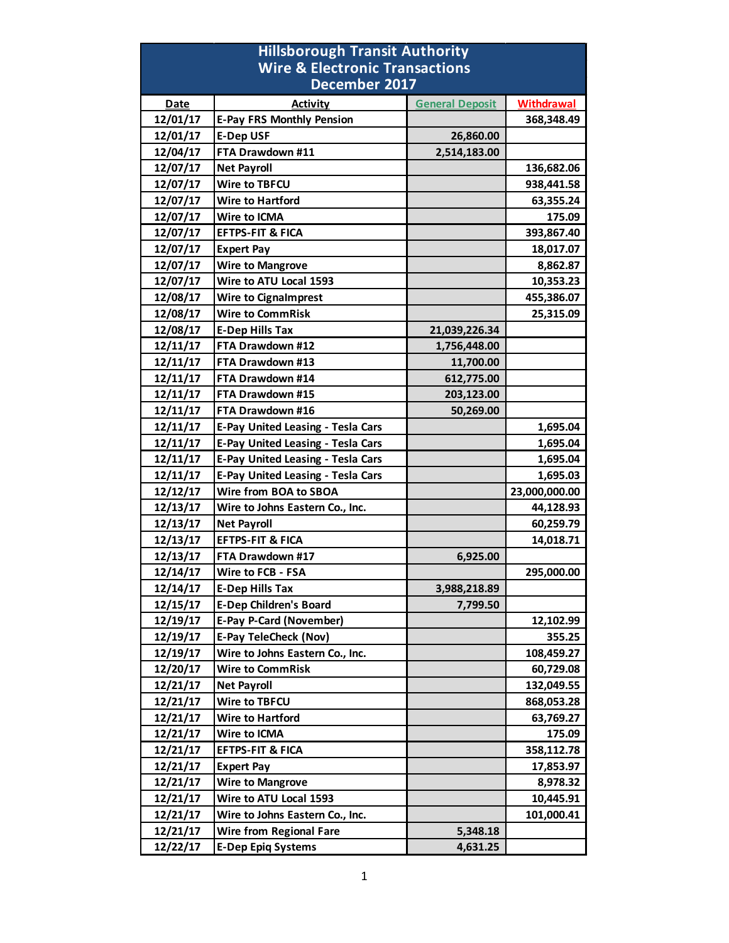| <b>Hillsborough Transit Authority</b>     |                                          |                        |                   |  |
|-------------------------------------------|------------------------------------------|------------------------|-------------------|--|
| <b>Wire &amp; Electronic Transactions</b> |                                          |                        |                   |  |
|                                           | December 2017                            |                        |                   |  |
| <b>Date</b>                               | <b>Activity</b>                          | <b>General Deposit</b> | <b>Withdrawal</b> |  |
| 12/01/17                                  | <b>E-Pay FRS Monthly Pension</b>         |                        | 368,348.49        |  |
| 12/01/17                                  | <b>E-Dep USF</b>                         | 26,860.00              |                   |  |
| 12/04/17                                  | FTA Drawdown #11                         | 2,514,183.00           |                   |  |
| 12/07/17                                  | <b>Net Payroll</b>                       |                        | 136,682.06        |  |
| 12/07/17                                  | Wire to TBFCU                            |                        | 938,441.58        |  |
| 12/07/17                                  | <b>Wire to Hartford</b>                  |                        | 63,355.24         |  |
| 12/07/17                                  | <b>Wire to ICMA</b>                      |                        | 175.09            |  |
| 12/07/17                                  | <b>EFTPS-FIT &amp; FICA</b>              |                        | 393,867.40        |  |
| 12/07/17                                  | <b>Expert Pay</b>                        |                        | 18,017.07         |  |
| 12/07/17                                  | <b>Wire to Mangrove</b>                  |                        | 8,862.87          |  |
| 12/07/17                                  | Wire to ATU Local 1593                   |                        | 10,353.23         |  |
| 12/08/17                                  | <b>Wire to Cignalmprest</b>              |                        | 455,386.07        |  |
| 12/08/17                                  | <b>Wire to CommRisk</b>                  |                        | 25,315.09         |  |
| 12/08/17                                  | <b>E-Dep Hills Tax</b>                   | 21,039,226.34          |                   |  |
| 12/11/17                                  | FTA Drawdown #12                         | 1,756,448.00           |                   |  |
| 12/11/17                                  | FTA Drawdown #13                         | 11,700.00              |                   |  |
| 12/11/17                                  | FTA Drawdown #14                         | 612,775.00             |                   |  |
| 12/11/17                                  | FTA Drawdown #15                         | 203,123.00             |                   |  |
| 12/11/17                                  | FTA Drawdown #16                         | 50,269.00              |                   |  |
| 12/11/17                                  | <b>E-Pay United Leasing - Tesla Cars</b> |                        | 1,695.04          |  |
| 12/11/17                                  | <b>E-Pay United Leasing - Tesla Cars</b> |                        | 1,695.04          |  |
| 12/11/17                                  | <b>E-Pay United Leasing - Tesla Cars</b> |                        | 1,695.04          |  |
| 12/11/17                                  | <b>E-Pay United Leasing - Tesla Cars</b> |                        | 1,695.03          |  |
| 12/12/17                                  | Wire from BOA to SBOA                    |                        | 23,000,000.00     |  |
| 12/13/17                                  | Wire to Johns Eastern Co., Inc.          |                        | 44,128.93         |  |
| 12/13/17                                  | <b>Net Payroll</b>                       |                        | 60,259.79         |  |
| 12/13/17                                  | <b>EFTPS-FIT &amp; FICA</b>              |                        | 14,018.71         |  |
| 12/13/17                                  | FTA Drawdown #17                         | 6,925.00               |                   |  |
| 12/14/17                                  | Wire to FCB - FSA                        |                        | 295,000.00        |  |
| 12/14/17                                  | <b>E-Dep Hills Tax</b>                   | 3,988,218.89           |                   |  |
| 12/15/17                                  | <b>E-Dep Children's Board</b>            | 7,799.50               |                   |  |
| 12/19/17                                  | <b>E-Pay P-Card (November)</b>           |                        | 12,102.99         |  |
| 12/19/17                                  | <b>E-Pay TeleCheck (Nov)</b>             |                        | 355.25            |  |
| 12/19/17                                  | Wire to Johns Eastern Co., Inc.          |                        | 108,459.27        |  |
| 12/20/17                                  | <b>Wire to CommRisk</b>                  |                        | 60,729.08         |  |
| 12/21/17                                  | <b>Net Payroll</b>                       |                        | 132,049.55        |  |
| 12/21/17                                  | Wire to TBFCU                            |                        | 868,053.28        |  |
| 12/21/17                                  | Wire to Hartford                         |                        | 63,769.27         |  |
| 12/21/17                                  | Wire to ICMA                             |                        | 175.09            |  |
| 12/21/17                                  | <b>EFTPS-FIT &amp; FICA</b>              |                        | 358,112.78        |  |
| 12/21/17                                  | <b>Expert Pay</b>                        |                        | 17,853.97         |  |
| 12/21/17                                  | <b>Wire to Mangrove</b>                  |                        | 8,978.32          |  |
| 12/21/17                                  | Wire to ATU Local 1593                   |                        | 10,445.91         |  |
| 12/21/17                                  | Wire to Johns Eastern Co., Inc.          |                        | 101,000.41        |  |
| 12/21/17                                  | <b>Wire from Regional Fare</b>           | 5,348.18               |                   |  |
| 12/22/17                                  | <b>E-Dep Epiq Systems</b>                | 4,631.25               |                   |  |